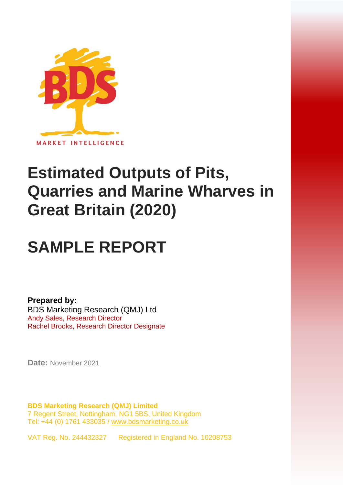

# **Estimated Outputs of Pits, Quarries and Marine Wharves in Great Britain (2020)**

# **SAMPLE REPORT**

**Prepared by:** BDS Marketing Research (QMJ) Ltd Andy Sales, Research Director Rachel Brooks, Research Director Designate

**Date:** November 2021

**BDS Marketing Research (QMJ) Limited** 7 Regent Street, Nottingham, NG1 5BS, United Kingdom Tel: +44 (0) 1761 433035 / [www.bdsmarketing.co.uk](http://www.bdsmarketing.co.uk/)

VAT Reg. No. 244432327 Registered in England No. 10208753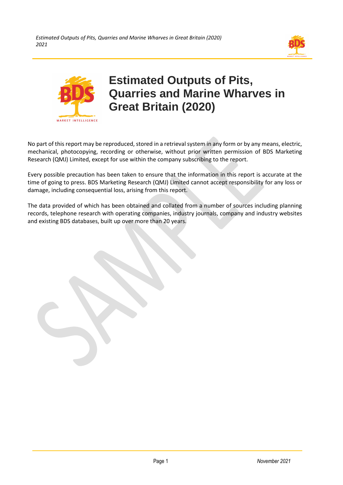



# **Estimated Outputs of Pits, Quarries and Marine Wharves in Great Britain (2020)**

No part of this report may be reproduced, stored in a retrieval system in any form or by any means, electric, mechanical, photocopying, recording or otherwise, without prior written permission of BDS Marketing Research (QMJ) Limited, except for use within the company subscribing to the report.

Every possible precaution has been taken to ensure that the information in this report is accurate at the time of going to press. BDS Marketing Research (QMJ) Limited cannot accept responsibility for any loss or damage, including consequential loss, arising from this report.

The data provided of which has been obtained and collated from a number of sources including planning records, telephone research with operating companies, industry journals, company and industry websites and existing BDS databases, built up over more than 20 years.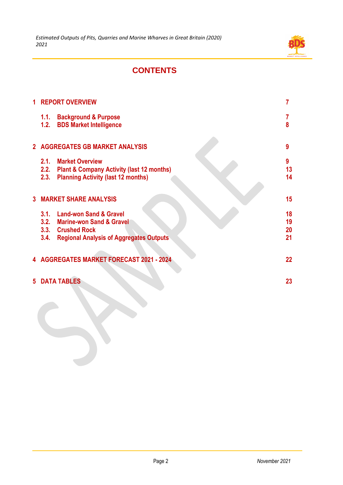

## **CONTENTS**

| 1 | <b>REPORT OVERVIEW</b>                                                                                                                              | 7                    |
|---|-----------------------------------------------------------------------------------------------------------------------------------------------------|----------------------|
|   | <b>Background &amp; Purpose</b><br>1.1.<br>1.2.<br><b>BDS Market Intelligence</b>                                                                   | 7<br>8               |
|   | 2 AGGREGATES GB MARKET ANALYSIS                                                                                                                     | 9                    |
|   | <b>Market Overview</b><br>2.1.<br>2.2.<br><b>Plant &amp; Company Activity (last 12 months)</b><br>2.3.<br><b>Planning Activity (last 12 months)</b> | 9<br>13<br>14        |
|   | <b>3 MARKET SHARE ANALYSIS</b>                                                                                                                      | 15                   |
|   | 3.1. Land-won Sand & Gravel<br>3.2. Marine-won Sand & Gravel<br>3.3. Crushed Rock<br><b>Regional Analysis of Aggregates Outputs</b><br>3.4.         | 18<br>19<br>20<br>21 |
|   | 4 AGGREGATES MARKET FORECAST 2021 - 2024                                                                                                            | 22                   |
|   | <b>5 DATA TABLES</b>                                                                                                                                | 23                   |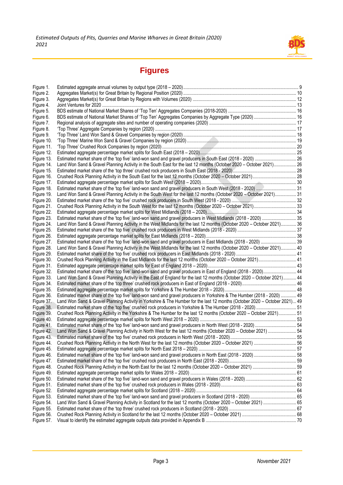

# **Figures**

| Figure 1.  |                                                                                                                            |  |
|------------|----------------------------------------------------------------------------------------------------------------------------|--|
| Figure 2.  |                                                                                                                            |  |
| Figure 3.  |                                                                                                                            |  |
| Figure 4.  |                                                                                                                            |  |
| Figure 5.  |                                                                                                                            |  |
| Figure 6.  | BDS estimate of National Market Shares of 'Top Ten' Aggregates Companies by Aggregate Type (2020)  16                      |  |
| Figure 7.  |                                                                                                                            |  |
| Figure 8.  |                                                                                                                            |  |
|            |                                                                                                                            |  |
| Figure 9.  |                                                                                                                            |  |
| Figure 10. |                                                                                                                            |  |
| Figure 11. |                                                                                                                            |  |
| Figure 12. |                                                                                                                            |  |
| Figure 13. |                                                                                                                            |  |
| Figure 14. | Land Won Sand & Gravel Planning Activity in the South East for the last 12 months (October 2020 - October 2021) 26         |  |
| Figure 15. |                                                                                                                            |  |
| Figure 16. |                                                                                                                            |  |
| Figure 17. |                                                                                                                            |  |
| Figure 18. |                                                                                                                            |  |
| Figure 19. | Land Won Sand & Gravel Planning Activity in the South West for the last 12 months (October 2020 - October 2021) 31         |  |
|            |                                                                                                                            |  |
| Figure 20. |                                                                                                                            |  |
| Figure 21. | Crushed Rock Planning Activity in the South West for the last 12 months (October 2020 - October 2021)33                    |  |
| Figure 22. |                                                                                                                            |  |
| Figure 23. | Estimated market share of the 'top five' land-won sand and gravel producers in West Midlands (2018 - 2020)  35             |  |
| Figure 24. | Land Won Sand & Gravel Planning Activity in the West Midlands for the last 12 months (October 2020 - October 2021) 36      |  |
| Figure 25. |                                                                                                                            |  |
| Figure 26. |                                                                                                                            |  |
| Figure 27. | Estimated market share of the 'top five' land-won sand and gravel producers in East Midlands (2018 - 2020)  39             |  |
| Figure 28. | Land Won Sand & Gravel Planning Activity in the West Midlands for the last 12 months (October 2020 - October 2021) 40      |  |
| Figure 29. |                                                                                                                            |  |
| Figure 30. | Crushed Rock Planning Activity in the East Midlands for the last 12 months (October 2020 - October 2021) 41                |  |
| Figure 31. |                                                                                                                            |  |
| Figure 32. | Estimated market share of the 'top five' land-won sand and gravel producers in East of England (2018 - 2020) 44            |  |
|            |                                                                                                                            |  |
| Figure 33. | Land Won Sand & Gravel Planning Activity in the East of England for the last 12 months (October 2020 - October 2021) 44    |  |
| Figure 34. |                                                                                                                            |  |
| Figure 35. |                                                                                                                            |  |
| Figure 36. | Estimated market share of the 'top five' land-won sand and gravel producers in Yorkshire & The Humber (2018 - 2020)  49    |  |
| Figure 37. | Land Won Sand & Gravel Planning Activity in Yorkshire & The Humber for the last 12 months (October 2020 - October 2021) 49 |  |
| Figure 38. | Estimated market share of the 'top five' crushed rock producers in Yorkshire & The Humber (2018 - 2020)  51                |  |
| Figure 39. | Crushed Rock Planning Activity in the Yorkshire & The Humber for the last 12 months (October 2020 - October 2021) 51       |  |
| Figure 40. |                                                                                                                            |  |
| Figure 41. |                                                                                                                            |  |
| Figure 42. | Land Won Sand & Gravel Planning Activity in North West for the last 12 months (October 2020 - October 2021)  54            |  |
| Figure 43. |                                                                                                                            |  |
| Figure 44. |                                                                                                                            |  |
| Figure 45. |                                                                                                                            |  |
| Figure 46. |                                                                                                                            |  |
|            |                                                                                                                            |  |
| Figure 47. |                                                                                                                            |  |
| Figure 48. |                                                                                                                            |  |
| Figure 49. |                                                                                                                            |  |
| Figure 50. |                                                                                                                            |  |
| Figure 51. |                                                                                                                            |  |
| Figure 52. |                                                                                                                            |  |
| Figure 53. |                                                                                                                            |  |
| Figure 54. | Land Won Sand & Gravel Planning Activity in Scotland for the last 12 months (October 2020 - October 2021)  65              |  |
| Figure 55. |                                                                                                                            |  |
| Figure 56. |                                                                                                                            |  |
| Figure 57. |                                                                                                                            |  |
|            |                                                                                                                            |  |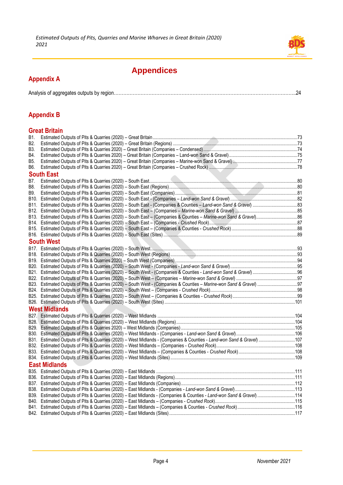

## **Appendices**

#### **Appendix A**

|--|

## **Appendix B**

#### **Great Britain**

| B1. |                                                                                                                        |  |
|-----|------------------------------------------------------------------------------------------------------------------------|--|
| B2. |                                                                                                                        |  |
| B3. |                                                                                                                        |  |
| B4. |                                                                                                                        |  |
| B5. |                                                                                                                        |  |
| B6. |                                                                                                                        |  |
|     | <b>South East</b>                                                                                                      |  |
| B7. |                                                                                                                        |  |
| B8. |                                                                                                                        |  |
| B9. |                                                                                                                        |  |
|     |                                                                                                                        |  |
|     |                                                                                                                        |  |
|     |                                                                                                                        |  |
|     |                                                                                                                        |  |
|     |                                                                                                                        |  |
|     |                                                                                                                        |  |
|     |                                                                                                                        |  |
|     | <b>South West</b>                                                                                                      |  |
|     | B17. Estimated Outputs of Pits & Quarries (2020) - South West Materian Material Communications and the USA 33          |  |
|     |                                                                                                                        |  |
|     |                                                                                                                        |  |
|     |                                                                                                                        |  |
|     |                                                                                                                        |  |
|     |                                                                                                                        |  |
|     |                                                                                                                        |  |
|     |                                                                                                                        |  |
|     |                                                                                                                        |  |
|     |                                                                                                                        |  |
|     | <b>West Midlands</b>                                                                                                   |  |
|     |                                                                                                                        |  |
|     |                                                                                                                        |  |
|     |                                                                                                                        |  |
|     |                                                                                                                        |  |
|     | B31. Estimated Outputs of Pits & Quarries (2020) - West Midlands - (Companies & Counties - Land-won Sand & Gravel) 107 |  |
|     |                                                                                                                        |  |
|     |                                                                                                                        |  |
|     |                                                                                                                        |  |
|     | <b>East Midlands</b>                                                                                                   |  |
|     |                                                                                                                        |  |
|     |                                                                                                                        |  |
|     |                                                                                                                        |  |
|     |                                                                                                                        |  |
|     | B39. Estimated Outputs of Pits & Quarries (2020) - East Midlands - (Companies & Counties - Land-won Sand & Gravel) 114 |  |
|     |                                                                                                                        |  |
|     |                                                                                                                        |  |
|     |                                                                                                                        |  |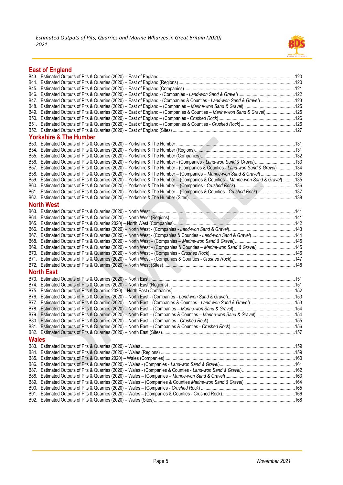

### **East of England**

|              | B47. Estimated Outputs of Pits & Quarries (2020) - East of England - (Companies & Counties - Land-won Sand & Gravel) 123          |  |
|--------------|-----------------------------------------------------------------------------------------------------------------------------------|--|
|              |                                                                                                                                   |  |
|              | B49. Estimated Outputs of Pits & Quarries (2020) - East of England - (Companies & Counties - Marine-won Sand & Gravel)125         |  |
|              |                                                                                                                                   |  |
|              |                                                                                                                                   |  |
|              |                                                                                                                                   |  |
|              | <b>Yorkshire &amp; The Humber</b>                                                                                                 |  |
|              |                                                                                                                                   |  |
|              |                                                                                                                                   |  |
|              |                                                                                                                                   |  |
|              |                                                                                                                                   |  |
|              | B57. Estimated Outputs of Pits & Quarries (2020) - Yorkshire & The Humber - (Companies & Counties - Land-won Sand & Gravel) 134   |  |
|              | B58. Estimated Outputs of Pits & Quarries (2020) - Yorkshire & The Humber - (Companies - Marine-won Sand & Gravel) 135            |  |
|              | B59. Estimated Outputs of Pits & Quarries (2020) - Yorkshire & The Humber - (Companies & Counties - Marine-won Sand & Gravel) 135 |  |
|              |                                                                                                                                   |  |
|              | B61. Estimated Outputs of Pits & Quarries (2020) - Yorkshire & The Humber - (Companies & Counties - Crushed Rock)137              |  |
|              |                                                                                                                                   |  |
|              | <b>North West</b>                                                                                                                 |  |
|              |                                                                                                                                   |  |
|              |                                                                                                                                   |  |
|              |                                                                                                                                   |  |
|              |                                                                                                                                   |  |
|              |                                                                                                                                   |  |
|              |                                                                                                                                   |  |
|              | B69. Estimated Outputs of Pits & Quarries (2020) - North West - (Companies & Counties - Marine-won Sand & Gravel) 145             |  |
|              |                                                                                                                                   |  |
|              |                                                                                                                                   |  |
|              |                                                                                                                                   |  |
|              | <b>North East</b>                                                                                                                 |  |
|              |                                                                                                                                   |  |
|              |                                                                                                                                   |  |
|              |                                                                                                                                   |  |
|              |                                                                                                                                   |  |
|              |                                                                                                                                   |  |
|              |                                                                                                                                   |  |
|              | B79. Estimated Outputs of Pits & Quarries (2020) - North East - (Companies & Counties - Marine-won Sand & Gravel) 154             |  |
|              |                                                                                                                                   |  |
|              |                                                                                                                                   |  |
|              |                                                                                                                                   |  |
| <b>Wales</b> |                                                                                                                                   |  |
|              |                                                                                                                                   |  |
|              |                                                                                                                                   |  |
|              |                                                                                                                                   |  |
|              |                                                                                                                                   |  |
|              |                                                                                                                                   |  |
|              |                                                                                                                                   |  |
|              |                                                                                                                                   |  |
|              |                                                                                                                                   |  |
|              |                                                                                                                                   |  |
|              |                                                                                                                                   |  |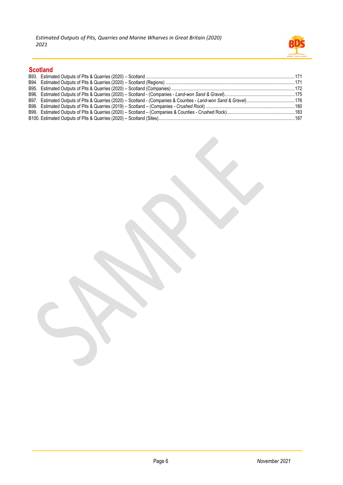

### **Scotland**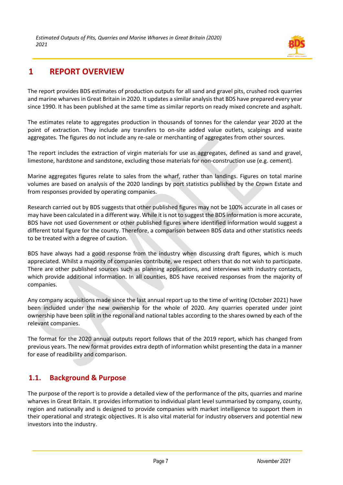

## <span id="page-7-0"></span>**1 REPORT OVERVIEW**

The report provides BDS estimates of production outputs for all sand and gravel pits, crushed rock quarries and marine wharves in Great Britain in 2020. It updates a similar analysis that BDS have prepared every year since 1990. It has been published at the same time as similar reports on ready mixed concrete and asphalt.

The estimates relate to aggregates production in thousands of tonnes for the calendar year 2020 at the point of extraction. They include any transfers to on-site added value outlets, scalpings and waste aggregates. The figures do not include any re-sale or merchanting of aggregates from other sources.

The report includes the extraction of virgin materials for use as aggregates, defined as sand and gravel, limestone, hardstone and sandstone, excluding those materials for non-construction use (e.g. cement).

Marine aggregates figures relate to sales from the wharf, rather than landings. Figures on total marine volumes are based on analysis of the 2020 landings by port statistics published by the Crown Estate and from responses provided by operating companies.

Research carried out by BDS suggests that other published figures may not be 100% accurate in all cases or may have been calculated in a different way. While it is not to suggest the BDS information is more accurate, BDS have not used Government or other published figures where identified information would suggest a different total figure for the county. Therefore, a comparison between BDS data and other statistics needs to be treated with a degree of caution.

BDS have always had a good response from the industry when discussing draft figures, which is much appreciated. Whilst a majority of companies contribute, we respect others that do not wish to participate. There are other published sources such as planning applications, and interviews with industry contacts, which provide additional information. In all counties, BDS have received responses from the majority of companies.

Any company acquisitions made since the last annual report up to the time of writing (October 2021) have been included under the new ownership for the whole of 2020. Any quarries operated under joint ownership have been split in the regional and national tables according to the shares owned by each of the relevant companies.

The format for the 2020 annual outputs report follows that of the 2019 report, which has changed from previous years. The new format provides extra depth of information whilst presenting the data in a manner for ease of readibility and comparison.

### <span id="page-7-1"></span>**1.1. Background & Purpose**

The purpose of the report is to provide a detailed view of the performance of the pits, quarries and marine wharves in Great Britain. It provides information to individual plant level summarised by company, county, region and nationally and is designed to provide companies with market intelligence to support them in their operational and strategic objectives. It is also vital material for industry observers and potential new investors into the industry.